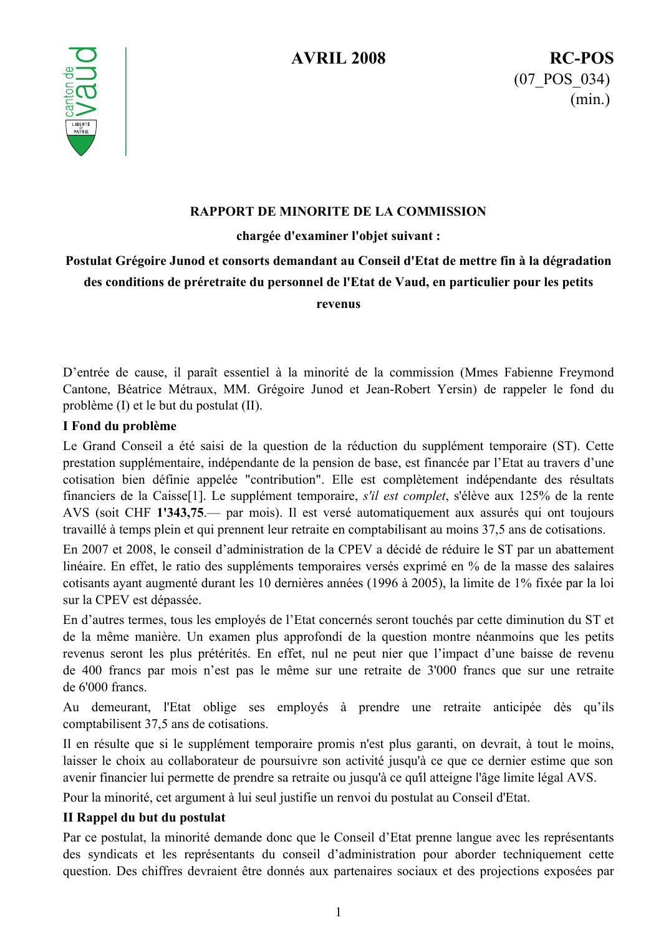

#### RAPPORT DE MINORITE DE LA COMMISSION

chargée d'examiner l'objet suivant :

# Postulat Grégoire Junod et consorts demandant au Conseil d'Etat de mettre fin à la dégradation des conditions de préretraite du personnel de l'Etat de Vaud, en particulier pour les petits

revenus

D'entrée de cause, il paraît essentiel à la minorité de la commission (Mmes Fabienne Freymond Cantone, Béatrice Métraux, MM. Grégoire Junod et Jean-Robert Yersin) de rappeler le fond du problème (I) et le but du postulat (II).

## I Fond du problème

Le Grand Conseil a été saisi de la question de la réduction du supplément temporaire (ST). Cette prestation supplémentaire, indépendante de la pension de base, est financée par l'Etat au travers d'une cotisation bien définie appelée "contribution". Elle est complètement indépendante des résultats financiers de la Caisse<sup>[1]</sup>. Le supplément temporaire, s'il est complet, s'élève aux 125% de la rente AVS (soit CHF 1'343,75 .— par mois). Il est versé automatiquement aux assurés qui ont toujours travaillé à temps plein et qui prennent leur retraite en comptabilisant au moins 37,5 ans de cotisations.

En 2007 et 2008, le conseil d'administration de la CPEV a décidé de réduire le ST par un abattement linéaire. En effet, le ratio des suppléments temporaires versés exprimé en % de la masse des salaires cotisants ayant augmenté durant les 10 dernières années (1996 à 2005), la limite de 1% fixée par la loi sur la CPEV est dépassée.

En d'autres termes, tous les employés de l'Etat concernés seront touchés par cette diminution du ST et de la même manière. Un examen plus approfondi de la question montre néanmoins que les petits revenus seront les plus prétérités. En effet, nul ne peut nier que l'impact d'une baisse de revenu de 400 francs par mois n'est pas le même sur une retraite de 3'000 francs que sur une retraite de 6'000 francs.

Au demeurant, l'Etat oblige ses employés à prendre une retraite anticipée dès qu'ils comptabilisent 37,5 ans de cotisations.

Il en résulte que si le supplément temporaire promis n'est plus garanti, on devrait, à tout le moins, laisser le choix au collaborateur de poursuivre son activité jusqu'à ce que ce dernier estime que son avenir financier lui permette de prendre sa retraite ou jusqu'à ce qu'il atteigne l'âge limite légal AVS.

Pour la minorité, cet argument à lui seul justifie un renvoi du postulat au Conseil d'Etat.

## II Rappel du but du postulat

Par ce postulat, la minorité demande donc que le Conseil d'Etat prenne langue avec les représentants des syndicats et les représentants du conseil d'administration pour aborder techniquement cette question. Des chiffres devraient être donnés aux partenaires sociaux et des projections exposées par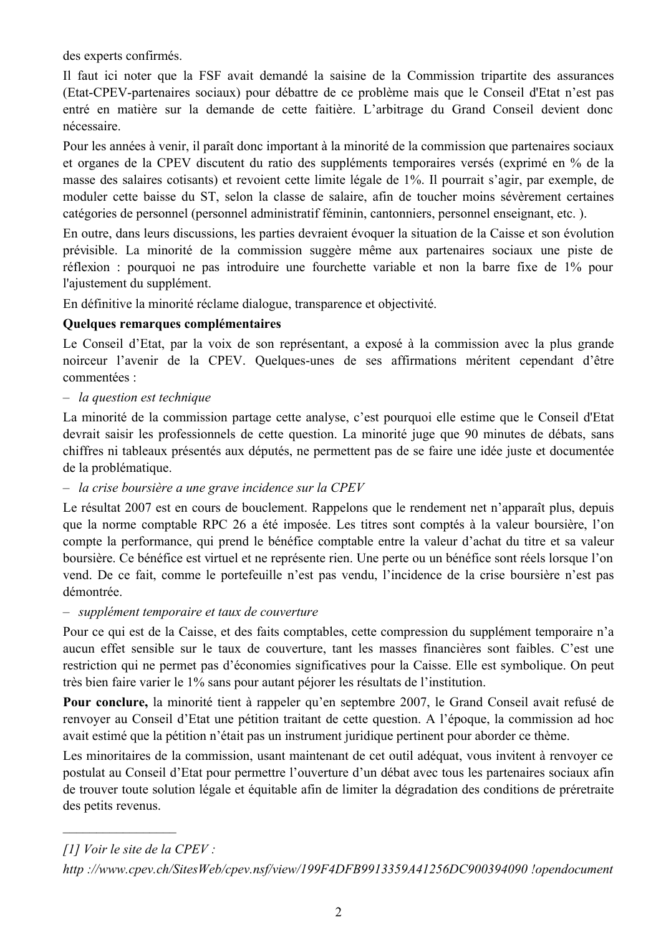des experts confirmés.

Il faut ici noter que la FSF avait demandé la saisine de la Commission tripartite des assurances (Etat-CPEV-partenaires sociaux) pour débattre de ce problème mais que le Conseil d'Etat n'est pas entré en matière sur la demande de cette faitière. L'arbitrage du Grand Conseil devient donc nécessaire.

Pour les années à venir, il paraît donc important à la minorité de la commission que partenaires sociaux et organes de la CPEV discutent du ratio des suppléments temporaires versés (exprimé en % de la masse des salaires cotisants) et revoient cette limite légale de 1%. Il pourrait s'agir, par exemple, de moduler cette baisse du ST, selon la classe de salaire, afin de toucher moins sévèrement certaines catégories de personnel (personnel administratif féminin, cantonniers, personnel enseignant, etc.).

En outre, dans leurs discussions, les parties devraient évoquer la situation de la Caisse et son évolution prévisible. La minorité de la commission suggère même aux partenaires sociaux une piste de réflexion : pourquoi ne pas introduire une fourchette variable et non la barre fixe de 1% pour l'ajustement du supplément.

En définitive la minorité réclame dialogue, transparence et objectivité.

## **Ouelques remarques complémentaires**

Le Conseil d'Etat, par la voix de son représentant, a exposé à la commission avec la plus grande noirceur l'avenir de la CPEV. Quelques-unes de ses affirmations méritent cependant d'être commentées ·

#### $-$  la question est technique

La minorité de la commission partage cette analyse, c'est pourquoi elle estime que le Conseil d'Etat devrait saisir les professionnels de cette question. La minorité juge que 90 minutes de débats, sans chiffres ni tableaux présentés aux députés, ne permettent pas de se faire une idée juste et documentée de la problématique.

## - la crise boursière a une grave incidence sur la CPEV

Le résultat 2007 est en cours de bouclement. Rappelons que le rendement net n'apparaît plus, depuis que la norme comptable RPC 26 a été imposée. Les titres sont comptés à la valeur boursière, l'on compte la performance, qui prend le bénéfice comptable entre la valeur d'achat du titre et sa valeur boursière. Ce bénéfice est virtuel et ne représente rien. Une perte ou un bénéfice sont réels lorsque l'on vend. De ce fait, comme le portefeuille n'est pas vendu, l'incidence de la crise boursière n'est pas démontrée.

- supplément temporaire et taux de couverture

Pour ce qui est de la Caisse, et des faits comptables, cette compression du supplément temporaire n'a aucun effet sensible sur le taux de couverture, tant les masses financières sont faibles. C'est une restriction qui ne permet pas d'économies significatives pour la Caisse. Elle est symbolique. On peut très bien faire varier le 1% sans pour autant péjorer les résultats de l'institution.

Pour conclure, la minorité tient à rappeler qu'en septembre 2007, le Grand Conseil avait refusé de renvoyer au Conseil d'Etat une pétition traitant de cette question. A l'époque, la commission ad hoc avait estimé que la pétition n'était pas un instrument juridique pertinent pour aborder ce thème.

Les minoritaires de la commission, usant maintenant de cet outil adéquat, vous invitent à renvoyer ce postulat au Conseil d'Etat pour permettre l'ouverture d'un débat avec tous les partenaires sociaux afin de trouver toute solution légale et équitable afin de limiter la dégradation des conditions de préretraite des petits revenus.

<sup>[1]</sup> Voir le site de la CPEV :

http://www.cpev.ch/SitesWeb/cpev.nsf/view/199F4DFB9913359A41256DC900394090 !opendocument